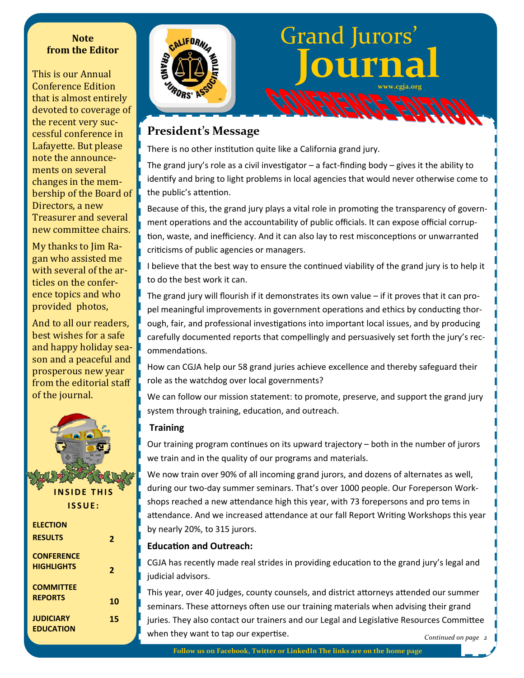### **Note from the Editor**

This is our Annual Conference Edition that is almost entirely devoted to coverage of the recent very successful conference in Lafayette. But please note the announcements on several changes in the membership of the Board of Directors, a new Treasurer and several new committee chairs.

My thanks to Jim Ragan who assisted me with several of the articles on the conference topics and who provided photos,

And to all our readers. best wishes for a safe and happy holiday season and a peaceful and prosperous new year from the editorial staff of the journal.





# Vol. 1 6 No. 6 CGJA Journal December 2015 1 **www.cgja.org** Grand Jurors' **Journal**

# **President's Message**

There is no other institution quite like a California grand jury.

The grand jury's role as a civil investigator – a fact-finding body – gives it the ability to identify and bring to light problems in local agencies that would never otherwise come to the public's attention.

Because of this, the grand jury plays a vital role in promoting the transparency of government operations and the accountability of public officials. It can expose official corruption, waste, and inefficiency. And it can also lay to rest misconceptions or unwarranted criticisms of public agencies or managers.

I believe that the best way to ensure the continued viability of the grand jury is to help it to do the best work it can.

The grand jury will flourish if it demonstrates its own value – if it proves that it can pro‐ pel meaningful improvements in government operations and ethics by conducting thorough, fair, and professional investigations into important local issues, and by producing carefully documented reports that compellingly and persuasively set forth the jury's recommendaƟons.

How can CGJA help our 58 grand juries achieve excellence and thereby safeguard their role as the watchdog over local governments?

We can follow our mission statement: to promote, preserve, and support the grand jury system through training, education, and outreach.

### **Training**

Our training program continues on its upward trajectory – both in the number of jurors we train and in the quality of our programs and materials.

We now train over 90% of all incoming grand jurors, and dozens of alternates as well, during our two‐day summer seminars. That's over 1000 people. Our Foreperson Work‐ shops reached a new attendance high this year, with 73 forepersons and pro tems in attendance. And we increased attendance at our fall Report Writing Workshops this year by nearly 20%, to 315 jurors.

### **EducaƟon and Outreach:**

CGJA has recently made real strides in providing education to the grand jury's legal and judicial advisors.

*Continued on page 3 Continued on page 3* when they want to tap our experƟse. This year, over 40 judges, county counsels, and district attorneys attended our summer seminars. These attorneys often use our training materials when advising their grand juries. They also contact our trainers and our Legal and Legislative Resources Committee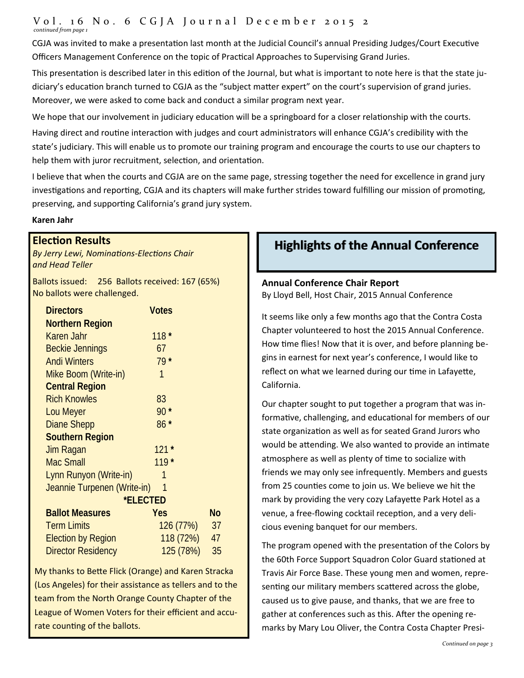#### Vol. 1 6 No. 6 CGJA Journal December 2015 2 *continued from page 1*

CGJA was invited to make a presentation last month at the Judicial Council's annual Presiding Judges/Court Executive Officers Management Conference on the topic of Practical Approaches to Supervising Grand Juries.

This presentation is described later in this edition of the Journal, but what is important to note here is that the state judiciary's education branch turned to CGJA as the "subject matter expert" on the court's supervision of grand juries. Moreover, we were asked to come back and conduct a similar program next year.

We hope that our involvement in judiciary education will be a springboard for a closer relationship with the courts.

Having direct and routine interaction with judges and court administrators will enhance CGJA's credibility with the state's judiciary. This will enable us to promote our training program and encourage the courts to use our chapters to help them with juror recruitment, selection, and orientation.

I believe that when the courts and CGJA are on the same page, stressing together the need for excellence in grand jury investigations and reporting, CGJA and its chapters will make further strides toward fulfilling our mission of promoting, preserving, and supporting California's grand jury system.

### **Karen Jahr**

### **ElecƟon Results**

*By Jerry Lewi, NominaƟons‐ElecƟons Chair and Head Teller* 

Ballots issued: 256 Ballots received: 167 (65%) No ballots were challenged.

| <b>Directors</b>                 | <b>Votes</b> |    |  |  |  |  |
|----------------------------------|--------------|----|--|--|--|--|
| Northern Region                  |              |    |  |  |  |  |
| <b>Karen Jahr</b>                | $118*$       |    |  |  |  |  |
| <b>Beckie Jennings</b>           | 67           |    |  |  |  |  |
| <b>Andi Winters</b>              | $79*$        |    |  |  |  |  |
| Mike Boom (Write-in)             | 1            |    |  |  |  |  |
| <b>Central Region</b>            |              |    |  |  |  |  |
| <b>Rich Knowles</b>              | 83           |    |  |  |  |  |
| <b>Lou Meyer</b>                 | $90*$        |    |  |  |  |  |
| <b>Diane Shepp</b>               | $86*$        |    |  |  |  |  |
| <b>Southern Region</b>           |              |    |  |  |  |  |
| Jim Ragan                        | $121*$       |    |  |  |  |  |
| <b>Mac Small</b>                 | $119*$       |    |  |  |  |  |
| Lynn Runyon (Write-in)           | 1            |    |  |  |  |  |
| Jeannie Turpenen (Write-in)<br>1 |              |    |  |  |  |  |
|                                  | *ELECTED     |    |  |  |  |  |
| <b>Ballot Measures</b>           | Yes          | No |  |  |  |  |
| <b>Term Limits</b>               | 126 (77%)    | 37 |  |  |  |  |
| <b>Election by Region</b>        | 118 (72%)    | 47 |  |  |  |  |
| Director Residency               | 125 (78%)    | 35 |  |  |  |  |

My thanks to Bette Flick (Orange) and Karen Stracka (Los Angeles) for their assistance as tellers and to the team from the North Orange County Chapter of the League of Women Voters for their efficient and accu‐ rate counting of the ballots.

# **Highlights of the Annual Conference**

**Annual Conference Chair Report** By Lloyd Bell, Host Chair, 2015 Annual Conference

It seems like only a few months ago that the Contra Costa Chapter volunteered to host the 2015 Annual Conference. How time flies! Now that it is over, and before planning begins in earnest for next year's conference, I would like to reflect on what we learned during our time in Lafayette, California.

Our chapter sought to put together a program that was in‐ formative, challenging, and educational for members of our state organization as well as for seated Grand Jurors who would be attending. We also wanted to provide an intimate atmosphere as well as plenty of time to socialize with friends we may only see infrequently. Members and guests from 25 counties come to join us. We believe we hit the mark by providing the very cozy Lafayette Park Hotel as a venue, a free-flowing cocktail reception, and a very delicious evening banquet for our members.

The program opened with the presentation of the Colors by the 60th Force Support Squadron Color Guard stationed at Travis Air Force Base. These young men and women, repre‐ senting our military members scattered across the globe, caused us to give pause, and thanks, that we are free to gather at conferences such as this. After the opening remarks by Mary Lou Oliver, the Contra Costa Chapter Presi‐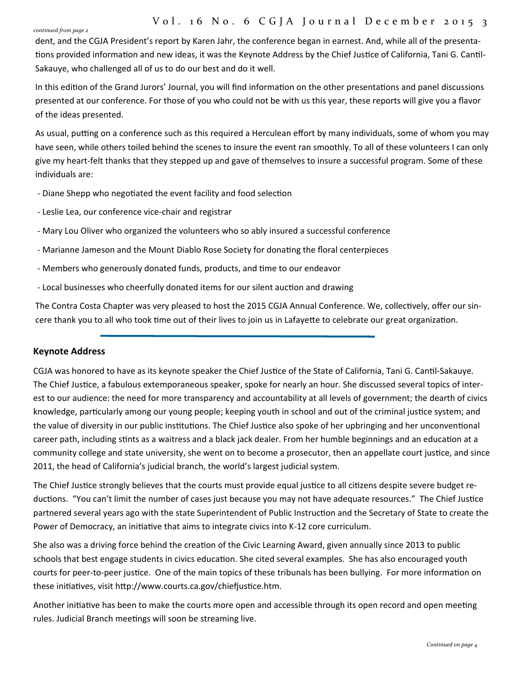#### *continued from page 2*

dent, and the CGJA President's report by Karen Jahr, the conference began in earnest. And, while all of the presentations provided information and new ideas, it was the Keynote Address by the Chief Justice of California, Tani G. Cantil-Sakauye, who challenged all of us to do our best and do it well.

In this edition of the Grand Jurors' Journal, you will find information on the other presentations and panel discussions presented at our conference. For those of you who could not be with us this year, these reports will give you a flavor of the ideas presented.

As usual, putting on a conference such as this required a Herculean effort by many individuals, some of whom you may have seen, while others toiled behind the scenes to insure the event ran smoothly. To all of these volunteers I can only give my heart-felt thanks that they stepped up and gave of themselves to insure a successful program. Some of these individuals are:

- Diane Shepp who negotiated the event facility and food selection
- ‐ Leslie Lea, our conference vice‐chair and registrar
- ‐ Mary Lou Oliver who organized the volunteers who so ably insured a successful conference
- Marianne Jameson and the Mount Diablo Rose Society for donating the floral centerpieces
- Members who generously donated funds, products, and time to our endeavor
- Local businesses who cheerfully donated items for our silent auction and drawing

The Contra Costa Chapter was very pleased to host the 2015 CGJA Annual Conference. We, collectively, offer our sincere thank you to all who took time out of their lives to join us in Lafayette to celebrate our great organization.

### **Keynote Address**

CGJA was honored to have as its keynote speaker the Chief Justice of the State of California, Tani G. Cantil-Sakauye. The Chief Justice, a fabulous extemporaneous speaker, spoke for nearly an hour. She discussed several topics of interest to our audience: the need for more transparency and accountability at all levels of government; the dearth of civics knowledge, particularly among our young people; keeping youth in school and out of the criminal justice system; and the value of diversity in our public institutions. The Chief Justice also spoke of her upbringing and her unconventional career path, including stints as a waitress and a black jack dealer. From her humble beginnings and an education at a community college and state university, she went on to become a prosecutor, then an appellate court justice, and since 2011, the head of California's judicial branch, the world's largest judicial system.

The Chief Justice strongly believes that the courts must provide equal justice to all citizens despite severe budget reductions. "You can't limit the number of cases just because you may not have adequate resources." The Chief Justice partnered several years ago with the state Superintendent of Public Instruction and the Secretary of State to create the Power of Democracy, an initiative that aims to integrate civics into K-12 core curriculum.

She also was a driving force behind the creation of the Civic Learning Award, given annually since 2013 to public schools that best engage students in civics education. She cited several examples. She has also encouraged youth courts for peer-to-peer justice. One of the main topics of these tribunals has been bullying. For more information on these initiatives, visit http://www.courts.ca.gov/chiefjustice.htm.

Another initiative has been to make the courts more open and accessible through its open record and open meeting rules. Judicial Branch meetings will soon be streaming live.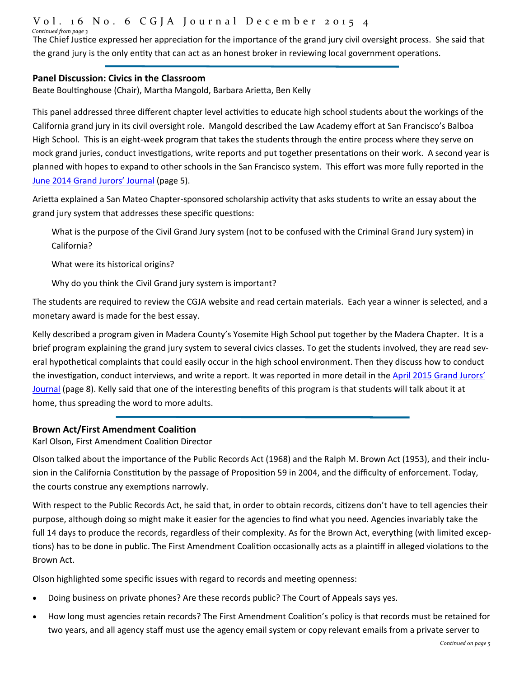#### Vol. 1 6 No. 6 CGJA Journal December 2015 4 *Continued from page 3*

The Chief Justice expressed her appreciation for the importance of the grand jury civil oversight process. She said that the grand jury is the only entity that can act as an honest broker in reviewing local government operations.

### **Panel Discussion: Civics in the Classroom**

Beate Boultinghouse (Chair), Martha Mangold, Barbara Arietta, Ben Kelly

This panel addressed three different chapter level activities to educate high school students about the workings of the California grand jury in its civil oversight role. Mangold described the Law Academy effort at San Francisco's Balboa High School. This is an eight-week program that takes the students through the entire process where they serve on mock grand juries, conduct investigations, write reports and put together presentations on their work. A second year is planned with hopes to expand to other schools in the San Francisco system. This effort was more fully reported in the June 2014 Grand Jurors' Journal (page 5).

Arietta explained a San Mateo Chapter-sponsored scholarship activity that asks students to write an essay about the grand jury system that addresses these specific questions:

What is the purpose of the Civil Grand Jury system (not to be confused with the Criminal Grand Jury system) in California?

What were its historical origins?

Why do you think the Civil Grand jury system is important?

The students are required to review the CGJA website and read certain materials. Each year a winner is selected, and a monetary award is made for the best essay.

Kelly described a program given in Madera County's Yosemite High School put together by the Madera Chapter. It is a brief program explaining the grand jury system to several civics classes. To get the students involved, they are read several hypothetical complaints that could easily occur in the high school environment. Then they discuss how to conduct the investigation, conduct interviews, and write a report. It was reported in more detail in the April 2015 Grand Jurors' Journal (page 8). Kelly said that one of the interesting benefits of this program is that students will talk about it at home, thus spreading the word to more adults.

### **Brown Act/First Amendment Coalition**

Karl Olson, First Amendment Coalition Director

Olson talked about the importance of the Public Records Act (1968) and the Ralph M. Brown Act (1953), and their inclu‐ sion in the California Constitution by the passage of Proposition 59 in 2004, and the difficulty of enforcement. Today, the courts construe any exemptions narrowly.

With respect to the Public Records Act, he said that, in order to obtain records, citizens don't have to tell agencies their purpose, although doing so might make it easier for the agencies to find what you need. Agencies invariably take the full 14 days to produce the records, regardless of their complexity. As for the Brown Act, everything (with limited exceptions) has to be done in public. The First Amendment Coalition occasionally acts as a plaintiff in alleged violations to the Brown Act.

Olson highlighted some specific issues with regard to records and meeting openness:

- Doing business on private phones? Are these records public? The Court of Appeals says yes.
- How long must agencies retain records? The First Amendment Coalition's policy is that records must be retained for two years, and all agency staff must use the agency email system or copy relevant emails from a private server to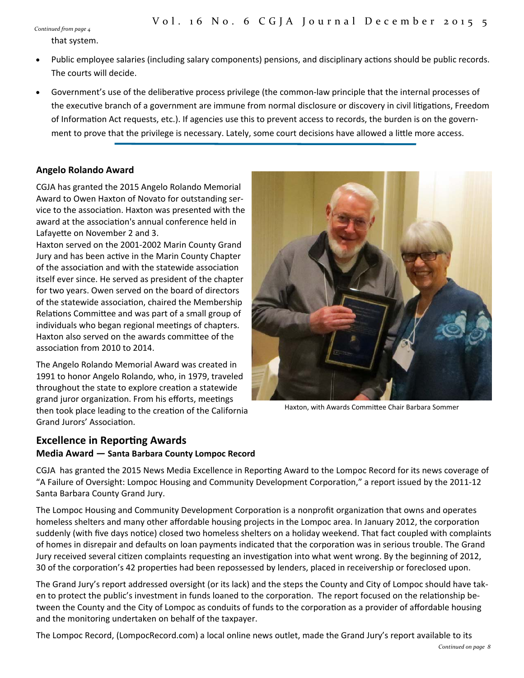*Continued from page 4* that system.

- Public employee salaries (including salary components) pensions, and disciplinary actions should be public records. The courts will decide.
- Government's use of the deliberative process privilege (the common-law principle that the internal processes of the executive branch of a government are immune from normal disclosure or discovery in civil litigations, Freedom of Information Act requests, etc.). If agencies use this to prevent access to records, the burden is on the government to prove that the privilege is necessary. Lately, some court decisions have allowed a little more access.

### **Angelo Rolando Award**

CGJA has granted the 2015 Angelo Rolando Memorial Award to Owen Haxton of Novato for outstanding ser‐ vice to the associaƟon. Haxton was presented with the award at the association's annual conference held in Lafayette on November 2 and 3.

Haxton served on the 2001‐2002 Marin County Grand Jury and has been active in the Marin County Chapter of the association and with the statewide association itself ever since. He served as president of the chapter for two years. Owen served on the board of directors of the statewide association, chaired the Membership Relations Committee and was part of a small group of individuals who began regional meetings of chapters. Haxton also served on the awards committee of the association from 2010 to 2014.

The Angelo Rolando Memorial Award was created in 1991 to honor Angelo Rolando, who, in 1979, traveled throughout the state to explore creation a statewide grand juror organization. From his efforts, meetings then took place leading to the creation of the California Grand Jurors' Association.



Haxton, with Awards Committee Chair Barbara Sommer

# **Excellence in Reporting Awards Media Award — Santa Barbara County Lompoc Record**

CGJA has granted the 2015 News Media Excellence in Reporting Award to the Lompoc Record for its news coverage of "A Failure of Oversight: Lompoc Housing and Community Development Corporation," a report issued by the 2011-12 Santa Barbara County Grand Jury.

The Lompoc Housing and Community Development Corporation is a nonprofit organization that owns and operates homeless shelters and many other affordable housing projects in the Lompoc area. In January 2012, the corporation suddenly (with five days notice) closed two homeless shelters on a holiday weekend. That fact coupled with complaints of homes in disrepair and defaults on loan payments indicated that the corporation was in serious trouble. The Grand Jury received several citizen complaints requesting an investigation into what went wrong. By the beginning of 2012, 30 of the corporation's 42 properties had been repossessed by lenders, placed in receivership or foreclosed upon.

The Grand Jury's report addressed oversight (or its lack) and the steps the County and City of Lompoc should have tak‐ en to protect the public's investment in funds loaned to the corporation. The report focused on the relationship between the County and the City of Lompoc as conduits of funds to the corporation as a provider of affordable housing and the monitoring undertaken on behalf of the taxpayer.

The Lompoc Record, (LompocRecord.com) a local online news outlet, made the Grand Jury's report available to its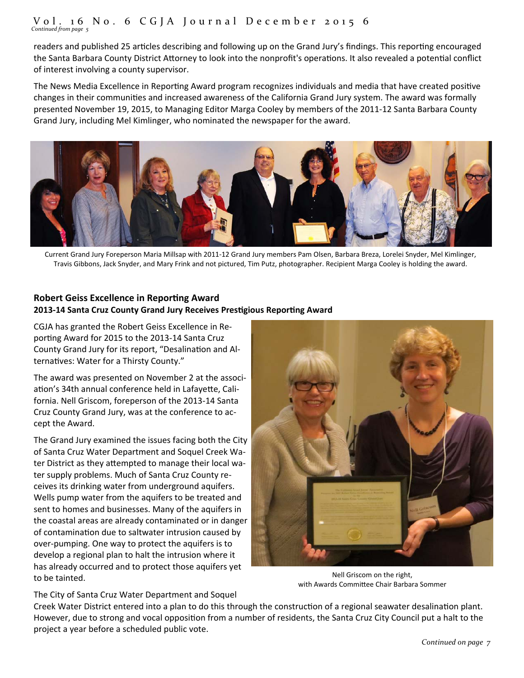readers and published 25 articles describing and following up on the Grand Jury's findings. This reporting encouraged the Santa Barbara County District Attorney to look into the nonprofit's operations. It also revealed a potential conflict of interest involving a county supervisor.

The News Media Excellence in Reporting Award program recognizes individuals and media that have created positive changes in their communities and increased awareness of the California Grand Jury system. The award was formally presented November 19, 2015, to Managing Editor Marga Cooley by members of the 2011‐12 Santa Barbara County Grand Jury, including Mel Kimlinger, who nominated the newspaper for the award.



Current Grand Jury Foreperson Maria Millsap with 2011‐12 Grand Jury members Pam Olsen, Barbara Breza, Lorelei Snyder, Mel Kimlinger, Travis Gibbons, Jack Snyder, and Mary Frink and not pictured, Tim Putz, photographer. Recipient Marga Cooley is holding the award.

### **Robert Geiss Excellence in Reporting Award 2013‐14 Santa Cruz County Grand Jury Receives PresƟgious ReporƟng Award**

CGJA has granted the Robert Geiss Excellence in Re‐ porting Award for 2015 to the 2013-14 Santa Cruz County Grand Jury for its report, "Desalination and Alternatives: Water for a Thirsty County."

The award was presented on November 2 at the associ‐ ation's 34th annual conference held in Lafayette, California. Nell Griscom, foreperson of the 2013‐14 Santa Cruz County Grand Jury, was at the conference to ac‐ cept the Award.

The Grand Jury examined the issues facing both the City of Santa Cruz Water Department and Soquel Creek Wa‐ ter District as they attempted to manage their local water supply problems. Much of Santa Cruz County re‐ ceives its drinking water from underground aquifers. Wells pump water from the aquifers to be treated and sent to homes and businesses. Many of the aquifers in the coastal areas are already contaminated or in danger of contamination due to saltwater intrusion caused by over‐pumping. One way to protect the aquifers is to develop a regional plan to halt the intrusion where it has already occurred and to protect those aquifers yet to be tainted.



Nell Griscom on the right, with Awards Committee Chair Barbara Sommer

The City of Santa Cruz Water Department and Soquel

Creek Water District entered into a plan to do this through the construction of a regional seawater desalination plant. However, due to strong and vocal opposition from a number of residents, the Santa Cruz City Council put a halt to the project a year before a scheduled public vote.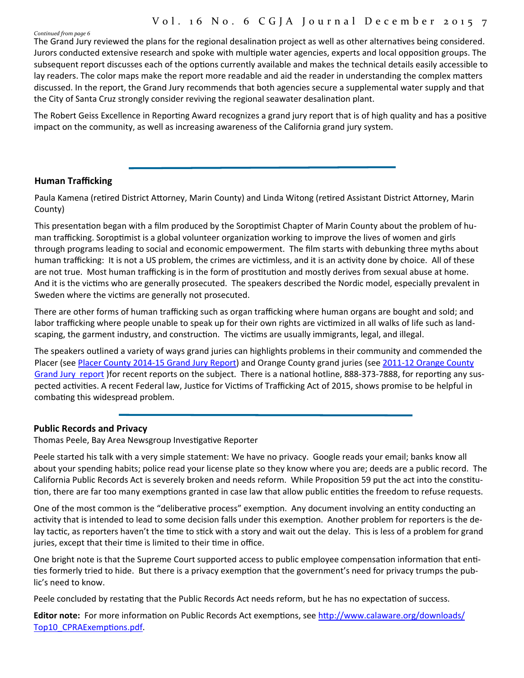### Vol. 16 No. 6 CGJA Journal December 2015 7

*Continued from page 6*

The Grand Jury reviewed the plans for the regional desalination project as well as other alternatives being considered. Jurors conducted extensive research and spoke with multiple water agencies, experts and local opposition groups. The subsequent report discusses each of the options currently available and makes the technical details easily accessible to lay readers. The color maps make the report more readable and aid the reader in understanding the complex matters discussed. In the report, the Grand Jury recommends that both agencies secure a supplemental water supply and that the City of Santa Cruz strongly consider reviving the regional seawater desalination plant.

The Robert Geiss Excellence in Reporting Award recognizes a grand jury report that is of high quality and has a positive impact on the community, as well as increasing awareness of the California grand jury system.

### **Human Trafficking**

Paula Kamena (retired District Attorney, Marin County) and Linda Witong (retired Assistant District Attorney, Marin County)

This presentation began with a film produced by the Soroptimist Chapter of Marin County about the problem of human trafficking. Soroptimist is a global volunteer organization working to improve the lives of women and girls through programs leading to social and economic empowerment. The film starts with debunking three myths about human trafficking: It is not a US problem, the crimes are victimless, and it is an activity done by choice. All of these are not true. Most human trafficking is in the form of prostitution and mostly derives from sexual abuse at home. And it is the victims who are generally prosecuted. The speakers described the Nordic model, especially prevalent in Sweden where the victims are generally not prosecuted.

There are other forms of human trafficking such as organ trafficking where human organs are bought and sold; and labor trafficking where people unable to speak up for their own rights are victimized in all walks of life such as landscaping, the garment industry, and construction. The victims are usually immigrants, legal, and illegal.

The speakers outlined a variety of ways grand juries can highlights problems in their community and commended the Placer (see Placer County 2014-15 Grand Jury Report) and Orange County grand juries (see 2011-12 Orange County Grand Jury report )for recent reports on the subject. There is a national hotline, 888-373-7888, for reporting any suspected activities. A recent Federal law, Justice for Victims of Trafficking Act of 2015, shows promise to be helpful in combating this widespread problem.

### **Public Records and Privacy**

Thomas Peele, Bay Area Newsgroup Investigative Reporter

Peele started his talk with a very simple statement: We have no privacy. Google reads your email; banks know all about your spending habits; police read your license plate so they know where you are; deeds are a public record. The California Public Records Act is severely broken and needs reform. While Proposition 59 put the act into the constitution, there are far too many exemptions granted in case law that allow public entities the freedom to refuse requests.

One of the most common is the "deliberative process" exemption. Any document involving an entity conducting an activity that is intended to lead to some decision falls under this exemption. Another problem for reporters is the delay tactic, as reporters haven't the time to stick with a story and wait out the delay. This is less of a problem for grand juries, except that their time is limited to their time in office.

One bright note is that the Supreme Court supported access to public employee compensation information that entities formerly tried to hide. But there is a privacy exemption that the government's need for privacy trumps the public's need to know.

Peele concluded by restating that the Public Records Act needs reform, but he has no expectation of success.

**Editor note:** For more information on Public Records Act exemptions, see http://www.calaware.org/downloads/ Top10\_CPRAExemptions.pdf.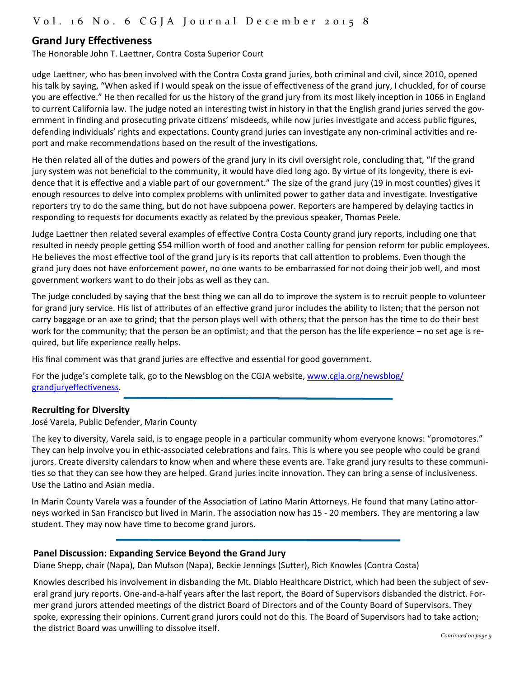# **Grand Jury EffecƟveness**

The Honorable John T. Laettner, Contra Costa Superior Court

udge Laettner, who has been involved with the Contra Costa grand juries, both criminal and civil, since 2010, opened his talk by saying, "When asked if I would speak on the issue of effectiveness of the grand jury, I chuckled, for of course you are effective." He then recalled for us the history of the grand jury from its most likely inception in 1066 in England to current California law. The judge noted an interesting twist in history in that the English grand juries served the government in finding and prosecuting private citizens' misdeeds, while now juries investigate and access public figures, defending individuals' rights and expectations. County grand juries can investigate any non-criminal activities and report and make recommendations based on the result of the investigations.

He then related all of the duties and powers of the grand jury in its civil oversight role, concluding that, "If the grand jury system was not beneficial to the community, it would have died long ago. By virtue of its longevity, there is evidence that it is effective and a viable part of our government." The size of the grand jury (19 in most counties) gives it enough resources to delve into complex problems with unlimited power to gather data and investigate. Investigative reporters try to do the same thing, but do not have subpoena power. Reporters are hampered by delaying tactics in responding to requests for documents exactly as related by the previous speaker, Thomas Peele.

Judge Laettner then related several examples of effective Contra Costa County grand jury reports, including one that resulted in needy people getting \$54 million worth of food and another calling for pension reform for public employees. He believes the most effective tool of the grand jury is its reports that call attention to problems. Even though the grand jury does not have enforcement power, no one wants to be embarrassed for not doing their job well, and most government workers want to do their jobs as well as they can.

The judge concluded by saying that the best thing we can all do to improve the system is to recruit people to volunteer for grand jury service. His list of attributes of an effective grand juror includes the ability to listen; that the person not carry baggage or an axe to grind; that the person plays well with others; that the person has the time to do their best work for the community; that the person be an optimist; and that the person has the life experience – no set age is required, but life experience really helps.

His final comment was that grand juries are effective and essential for good government.

For the judge's complete talk, go to the Newsblog on the CGJA website, www.cgla.org/newsblog/ grandjuryeffectiveness.

### **RecruiƟng for Diversity**

José Varela, Public Defender, Marin County

The key to diversity, Varela said, is to engage people in a particular community whom everyone knows: "promotores." They can help involve you in ethic-associated celebrations and fairs. This is where you see people who could be grand jurors. Create diversity calendars to know when and where these events are. Take grand jury results to these communities so that they can see how they are helped. Grand juries incite innovation. They can bring a sense of inclusiveness. Use the Latino and Asian media.

In Marin County Varela was a founder of the Association of Latino Marin Attorneys. He found that many Latino attorneys worked in San Francisco but lived in Marin. The association now has 15 - 20 members. They are mentoring a law student. They may now have time to become grand jurors.

### **Panel Discussion: Expanding Service Beyond the Grand Jury**

Diane Shepp, chair (Napa), Dan Mufson (Napa), Beckie Jennings (Sutter), Rich Knowles (Contra Costa)

Knowles described his involvement in disbanding the Mt. Diablo Healthcare District, which had been the subject of sev‐ eral grand jury reports. One-and-a-half years after the last report, the Board of Supervisors disbanded the district. Former grand jurors attended meetings of the district Board of Directors and of the County Board of Supervisors. They spoke, expressing their opinions. Current grand jurors could not do this. The Board of Supervisors had to take action; the district Board was unwilling to dissolve itself.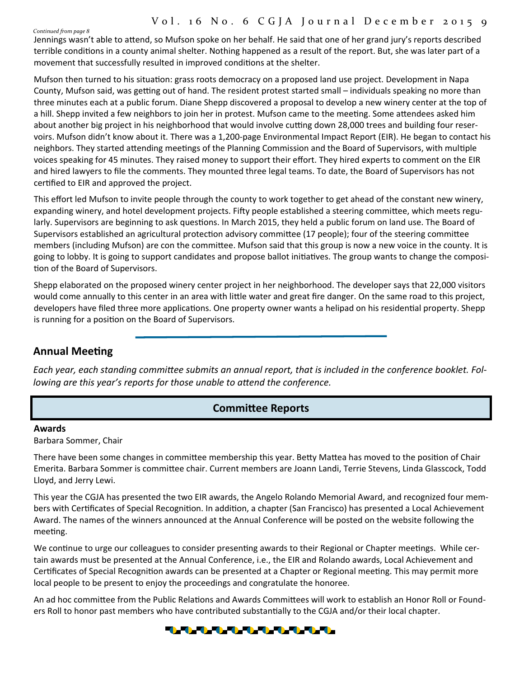### Vol. 16 No. 6 CGJA Journal December 2015 9

*Continued from page 8*

Jennings wasn't able to attend, so Mufson spoke on her behalf. He said that one of her grand jury's reports described terrible conditions in a county animal shelter. Nothing happened as a result of the report. But, she was later part of a movement that successfully resulted in improved conditions at the shelter.

Mufson then turned to his situation: grass roots democracy on a proposed land use project. Development in Napa County, Mufson said, was getting out of hand. The resident protest started small – individuals speaking no more than three minutes each at a public forum. Diane Shepp discovered a proposal to develop a new winery center at the top of a hill. Shepp invited a few neighbors to join her in protest. Mufson came to the meeting. Some attendees asked him about another big project in his neighborhood that would involve cutting down 28,000 trees and building four reservoirs. Mufson didn't know about it. There was a 1,200‐page Environmental Impact Report (EIR). He began to contact his neighbors. They started attending meetings of the Planning Commission and the Board of Supervisors, with multiple voices speaking for 45 minutes. They raised money to support their effort. They hired experts to comment on the EIR and hired lawyers to file the comments. They mounted three legal teams. To date, the Board of Supervisors has not certified to EIR and approved the project.

This effort led Mufson to invite people through the county to work together to get ahead of the constant new winery, expanding winery, and hotel development projects. Fifty people established a steering committee, which meets regularly. Supervisors are beginning to ask questions. In March 2015, they held a public forum on land use. The Board of Supervisors established an agricultural protection advisory committee (17 people); four of the steering committee members (including Mufson) are con the committee. Mufson said that this group is now a new voice in the county. It is going to lobby. It is going to support candidates and propose ballot initiatives. The group wants to change the composition of the Board of Supervisors.

Shepp elaborated on the proposed winery center project in her neighborhood. The developer says that 22,000 visitors would come annually to this center in an area with little water and great fire danger. On the same road to this project, developers have filed three more applications. One property owner wants a helipad on his residential property. Shepp is running for a position on the Board of Supervisors.

# **Annual MeeƟng**

*Each year, each standing commiƩee submits an annual report, that is included in the conference booklet. Fol‐ lowing are this year's reports for those unable to attend the conference.* 

### **CommiƩee Reports**

#### **Awards**

Barbara Sommer, Chair

There have been some changes in committee membership this year. Betty Mattea has moved to the position of Chair Emerita. Barbara Sommer is committee chair. Current members are Joann Landi, Terrie Stevens, Linda Glasscock, Todd Lloyd, and Jerry Lewi.

This year the CGJA has presented the two EIR awards, the Angelo Rolando Memorial Award, and recognized four mem‐ bers with Certificates of Special Recognition. In addition, a chapter (San Francisco) has presented a Local Achievement Award. The names of the winners announced at the Annual Conference will be posted on the website following the meeting.

We continue to urge our colleagues to consider presenting awards to their Regional or Chapter meetings. While certain awards must be presented at the Annual Conference, i.e., the EIR and Rolando awards, Local Achievement and Certificates of Special Recognition awards can be presented at a Chapter or Regional meeting. This may permit more local people to be present to enjoy the proceedings and congratulate the honoree.

An ad hoc committee from the Public Relations and Awards Committees will work to establish an Honor Roll or Founders Roll to honor past members who have contributed substantially to the CGJA and/or their local chapter.

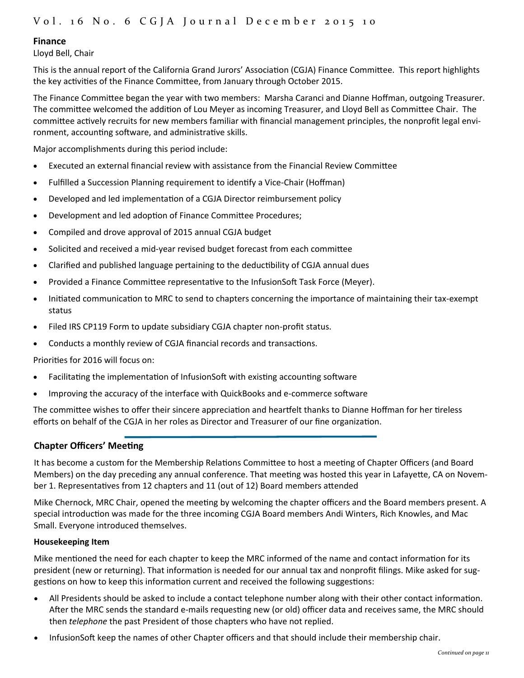### **Finance**

Lloyd Bell, Chair

This is the annual report of the California Grand Jurors' Association (CGJA) Finance Committee. This report highlights the key activities of the Finance Committee, from January through October 2015.

The Finance Committee began the year with two members: Marsha Caranci and Dianne Hoffman, outgoing Treasurer. The committee welcomed the addition of Lou Meyer as incoming Treasurer, and Lloyd Bell as Committee Chair. The committee actively recruits for new members familiar with financial management principles, the nonprofit legal environment, accounting software, and administrative skills.

Major accomplishments during this period include:

- Executed an external financial review with assistance from the Financial Review Committee
- Fulfilled a Succession Planning requirement to identify a Vice-Chair (Hoffman)
- Developed and led implementation of a CGJA Director reimbursement policy
- Development and led adoption of Finance Committee Procedures;
- Compiled and drove approval of 2015 annual CGJA budget
- Solicited and received a mid-year revised budget forecast from each committee
- Clarified and published language pertaining to the deductibility of CGJA annual dues
- Provided a Finance Committee representative to the InfusionSoft Task Force (Meyer).
- Initiated communication to MRC to send to chapters concerning the importance of maintaining their tax-exempt status
- Filed IRS CP119 Form to update subsidiary CGJA chapter non‐profit status.
- Conducts a monthly review of CGJA financial records and transactions.

Priorities for 2016 will focus on:

- Facilitating the implementation of InfusionSoft with existing accounting software
- Improving the accuracy of the interface with QuickBooks and e-commerce software

The committee wishes to offer their sincere appreciation and heartfelt thanks to Dianne Hoffman for her tireless efforts on behalf of the CGJA in her roles as Director and Treasurer of our fine organization.

### **Chapter Officers' Meeting**

It has become a custom for the Membership Relations Committee to host a meeting of Chapter Officers (and Board Members) on the day preceding any annual conference. That meeting was hosted this year in Lafayette, CA on November 1. Representatives from 12 chapters and 11 (out of 12) Board members attended

Mike Chernock, MRC Chair, opened the meeting by welcoming the chapter officers and the Board members present. A special introduction was made for the three incoming CGJA Board members Andi Winters, Rich Knowles, and Mac Small. Everyone introduced themselves.

#### **Housekeeping Item**

Mike mentioned the need for each chapter to keep the MRC informed of the name and contact information for its president (new or returning). That information is needed for our annual tax and nonprofit filings. Mike asked for suggestions on how to keep this information current and received the following suggestions:

- All Presidents should be asked to include a contact telephone number along with their other contact information. After the MRC sends the standard e-mails requesting new (or old) officer data and receives same, the MRC should then *telephone* the past President of those chapters who have not replied.
- InfusionSoft keep the names of other Chapter officers and that should include their membership chair.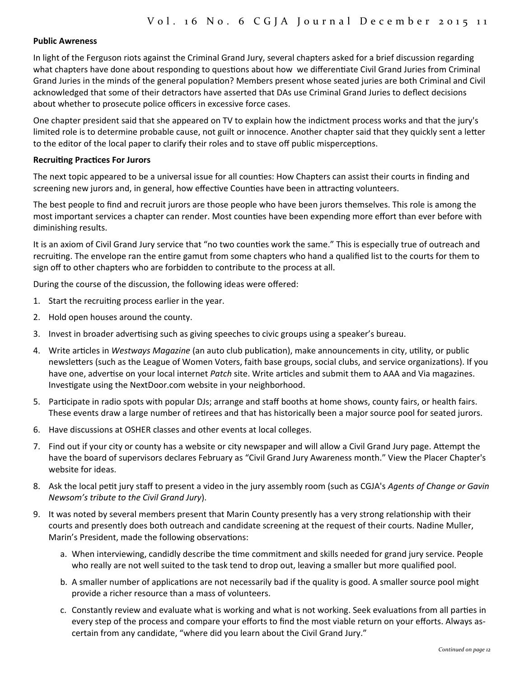#### **Public Awreness**

In light of the Ferguson riots against the Criminal Grand Jury, several chapters asked for a brief discussion regarding what chapters have done about responding to questions about how we differentiate Civil Grand Juries from Criminal Grand Juries in the minds of the general population? Members present whose seated juries are both Criminal and Civil acknowledged that some of their detractors have asserted that DAs use Criminal Grand Juries to deflect decisions about whether to prosecute police officers in excessive force cases.

One chapter president said that she appeared on TV to explain how the indictment process works and that the jury's limited role is to determine probable cause, not guilt or innocence. Another chapter said that they quickly sent a letter to the editor of the local paper to clarify their roles and to stave off public misperceptions.

#### **RecruiƟng PracƟces For Jurors**

The next topic appeared to be a universal issue for all counties: How Chapters can assist their courts in finding and screening new jurors and, in general, how effective Counties have been in attracting volunteers.

The best people to find and recruit jurors are those people who have been jurors themselves. This role is among the most important services a chapter can render. Most counties have been expending more effort than ever before with diminishing results.

It is an axiom of Civil Grand Jury service that "no two counties work the same." This is especially true of outreach and recruiting. The envelope ran the entire gamut from some chapters who hand a qualified list to the courts for them to sign off to other chapters who are forbidden to contribute to the process at all.

During the course of the discussion, the following ideas were offered:

- 1. Start the recruiting process earlier in the year.
- 2. Hold open houses around the county.
- 3. Invest in broader advertising such as giving speeches to civic groups using a speaker's bureau.
- 4. Write articles in *Westways Magazine* (an auto club publication), make announcements in city, utility, or public newsletters (such as the League of Women Voters, faith base groups, social clubs, and service organizations). If you have one, advertise on your local internet *Patch* site. Write articles and submit them to AAA and Via magazines. Investigate using the NextDoor.com website in your neighborhood.
- 5. ParƟcipate in radio spots with popular DJs; arrange and staff booths at home shows, county fairs, or health fairs. These events draw a large number of retirees and that has historically been a major source pool for seated jurors.
- 6. Have discussions at OSHER classes and other events at local colleges.
- 7. Find out if your city or county has a website or city newspaper and will allow a Civil Grand Jury page. Attempt the have the board of supervisors declares February as "Civil Grand Jury Awareness month." View the Placer Chapter's website for ideas.
- 8. Ask the local peƟt jury staff to present a video in the jury assembly room (such as CGJA's *Agents of Change or Gavin Newsom's tribute to the Civil Grand Jury*).
- 9. It was noted by several members present that Marin County presently has a very strong relationship with their courts and presently does both outreach and candidate screening at the request of their courts. Nadine Muller, Marin's President, made the following observations:
	- a. When interviewing, candidly describe the time commitment and skills needed for grand jury service. People who really are not well suited to the task tend to drop out, leaving a smaller but more qualified pool.
	- b. A smaller number of applications are not necessarily bad if the quality is good. A smaller source pool might provide a richer resource than a mass of volunteers.
	- c. Constantly review and evaluate what is working and what is not working. Seek evaluations from all parties in every step of the process and compare your efforts to find the most viable return on your efforts. Always as‐ certain from any candidate, "where did you learn about the Civil Grand Jury."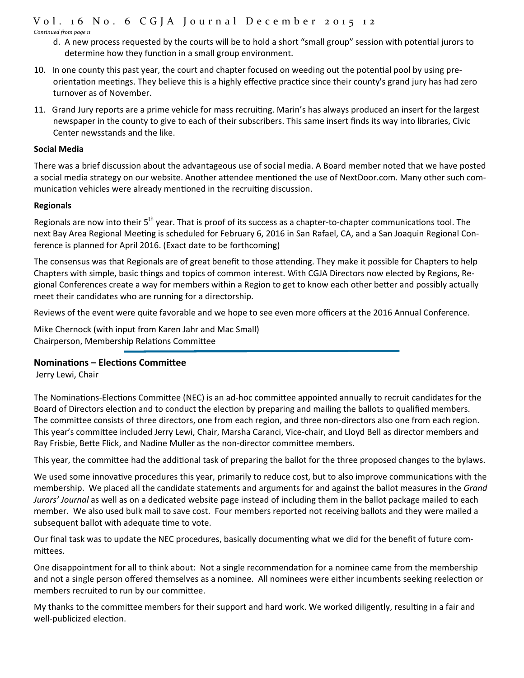# Vol. 1 6 No. 6 CGJA Journal December 2015 1 2

*Continued from page 11*

- d. A new process requested by the courts will be to hold a short "small group" session with potential jurors to determine how they function in a small group environment.
- 10. In one county this past year, the court and chapter focused on weeding out the potential pool by using preorientation meetings. They believe this is a highly effective practice since their county's grand jury has had zero turnover as of November.
- 11. Grand Jury reports are a prime vehicle for mass recruiting. Marin's has always produced an insert for the largest newspaper in the county to give to each of their subscribers. This same insert finds its way into libraries, Civic Center newsstands and the like.

### **Social Media**

There was a brief discussion about the advantageous use of social media. A Board member noted that we have posted a social media strategy on our website. Another attendee mentioned the use of NextDoor.com. Many other such communication vehicles were already mentioned in the recruiting discussion.

### **Regionals**

Regionals are now into their  $5<sup>th</sup>$  year. That is proof of its success as a chapter-to-chapter communications tool. The next Bay Area Regional Meeting is scheduled for February 6, 2016 in San Rafael, CA, and a San Joaquin Regional Conference is planned for April 2016. (Exact date to be forthcoming)

The consensus was that Regionals are of great benefit to those attending. They make it possible for Chapters to help Chapters with simple, basic things and topics of common interest. With CGJA Directors now elected by Regions, Re‐ gional Conferences create a way for members within a Region to get to know each other better and possibly actually meet their candidates who are running for a directorship.

Reviews of the event were quite favorable and we hope to see even more officers at the 2016 Annual Conference.

Mike Chernock (with input from Karen Jahr and Mac Small) Chairperson, Membership Relations Committee

### **NominaƟons – ElecƟons CommiƩee**

Jerry Lewi, Chair

The Nominations-Elections Committee (NEC) is an ad-hoc committee appointed annually to recruit candidates for the Board of Directors election and to conduct the election by preparing and mailing the ballots to qualified members. The committee consists of three directors, one from each region, and three non-directors also one from each region. This year's committee included Jerry Lewi, Chair, Marsha Caranci, Vice-chair, and Lloyd Bell as director members and Ray Frisbie, Bette Flick, and Nadine Muller as the non-director committee members.

This year, the committee had the additional task of preparing the ballot for the three proposed changes to the bylaws.

We used some innovative procedures this year, primarily to reduce cost, but to also improve communications with the membership. We placed all the candidate statements and arguments for and against the ballot measures in the *Grand Jurors' Journal* as well as on a dedicated website page instead of including them in the ballot package mailed to each member. We also used bulk mail to save cost. Four members reported not receiving ballots and they were mailed a subsequent ballot with adequate time to vote.

Our final task was to update the NEC procedures, basically documenting what we did for the benefit of future committees.

One disappointment for all to think about: Not a single recommendation for a nominee came from the membership and not a single person offered themselves as a nominee. All nominees were either incumbents seeking reelection or members recruited to run by our committee.

My thanks to the committee members for their support and hard work. We worked diligently, resulting in a fair and well-publicized election.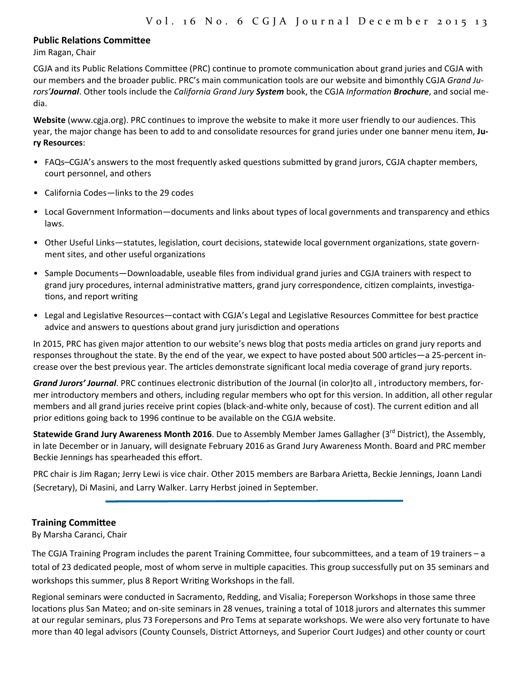### **Public RelaƟons CommiƩee**

Jim Ragan, Chair

CGJA and its Public Relations Committee (PRC) continue to promote communication about grand juries and CGJA with our members and the broader public. PRC's main communication tools are our website and bimonthly CGJA *Grand Jurors'Journal*. Other tools include the *California Grand Jury System* book, the CGJA *InformaƟon Brochure*, and social me‐ dia.

**Website** (www.cgja.org). PRC continues to improve the website to make it more user friendly to our audiences. This year, the major change has been to add to and consolidate resources for grand juries under one banner menu item, **Ju‐ ry Resources**:

- FAQs–CGJA's answers to the most frequently asked questions submitted by grand jurors, CGJA chapter members, court personnel, and others
- California Codes—links to the 29 codes
- Local Government Information—documents and links about types of local governments and transparency and ethics laws.
- Other Useful Links—statutes, legislation, court decisions, statewide local government organizations, state government sites, and other useful organizations
- Sample Documents—Downloadable, useable files from individual grand juries and CGJA trainers with respect to grand jury procedures, internal administrative matters, grand jury correspondence, citizen complaints, investigations, and report writing
- Legal and Legislative Resources—contact with CGJA's Legal and Legislative Resources Committee for best practice advice and answers to questions about grand jury jurisdiction and operations

In 2015, PRC has given major attention to our website's news blog that posts media articles on grand jury reports and responses throughout the state. By the end of the year, we expect to have posted about 500 articles—a 25-percent increase over the best previous year. The articles demonstrate significant local media coverage of grand jury reports.

*Grand Jurors' Journal*. PRC continues electronic distribution of the Journal (in color)to all, introductory members, former introductory members and others, including regular members who opt for this version. In addition, all other regular members and all grand juries receive print copies (black-and-white only, because of cost). The current edition and all prior editions going back to 1996 continue to be available on the CGJA website.

**Statewide Grand Jury Awareness Month 2016**. Due to Assembly Member James Gallagher (3rd District), the Assembly, in late December or in January, will designate February 2016 as Grand Jury Awareness Month. Board and PRC member Beckie Jennings has spearheaded this effort.

PRC chair is Jim Ragan; Jerry Lewi is vice chair. Other 2015 members are Barbara Arietta, Beckie Jennings, Joann Landi (Secretary), Di Masini, and Larry Walker. Larry Herbst joined in September.

### **Training Committee**

By Marsha Caranci, Chair

The CGJA Training Program includes the parent Training Committee, four subcommittees, and a team of 19 trainers – a total of 23 dedicated people, most of whom serve in multiple capacities. This group successfully put on 35 seminars and workshops this summer, plus 8 Report Writing Workshops in the fall.

Regional seminars were conducted in Sacramento, Redding, and Visalia; Foreperson Workshops in those same three locations plus San Mateo; and on-site seminars in 28 venues, training a total of 1018 jurors and alternates this summer at our regular seminars, plus 73 Forepersons and Pro Tems at separate workshops. We were also very fortunate to have more than 40 legal advisors (County Counsels, District Attorneys, and Superior Court Judges) and other county or court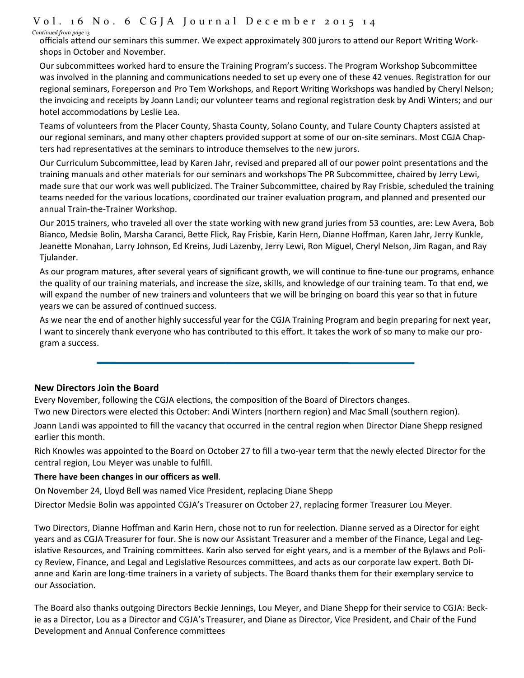# Vol. 1 6 No. 6 CGJA Journal December 2015 1 4

*Continued from page* 13

officials attend our seminars this summer. We expect approximately 300 jurors to attend our Report Writing Workshops in October and November.

Our subcommittees worked hard to ensure the Training Program's success. The Program Workshop Subcommittee was involved in the planning and communications needed to set up every one of these 42 venues. Registration for our regional seminars, Foreperson and Pro Tem Workshops, and Report Writing Workshops was handled by Cheryl Nelson; the invoicing and receipts by Joann Landi; our volunteer teams and regional registration desk by Andi Winters; and our hotel accommodations by Leslie Lea.

Teams of volunteers from the Placer County, Shasta County, Solano County, and Tulare County Chapters assisted at our regional seminars, and many other chapters provided support at some of our on‐site seminars. Most CGJA Chap‐ ters had representatives at the seminars to introduce themselves to the new jurors.

Our Curriculum Subcommittee, lead by Karen Jahr, revised and prepared all of our power point presentations and the training manuals and other materials for our seminars and workshops The PR Subcommittee, chaired by Jerry Lewi, made sure that our work was well publicized. The Trainer Subcommittee, chaired by Ray Frisbie, scheduled the training teams needed for the various locations, coordinated our trainer evaluation program, and planned and presented our annual Train‐the‐Trainer Workshop.

Our 2015 trainers, who traveled all over the state working with new grand juries from 53 counties, are: Lew Avera, Bob Bianco, Medsie Bolin, Marsha Caranci, Bette Flick, Ray Frisbie, Karin Hern, Dianne Hoffman, Karen Jahr, Jerry Kunkle, Jeanette Monahan, Larry Johnson, Ed Kreins, Judi Lazenby, Jerry Lewi, Ron Miguel, Cheryl Nelson, Jim Ragan, and Ray Tjulander.

As our program matures, after several years of significant growth, we will continue to fine-tune our programs, enhance the quality of our training materials, and increase the size, skills, and knowledge of our training team. To that end, we will expand the number of new trainers and volunteers that we will be bringing on board this year so that in future years we can be assured of continued success.

As we near the end of another highly successful year for the CGJA Training Program and begin preparing for next year, I want to sincerely thank everyone who has contributed to this effort. It takes the work of so many to make our pro‐ gram a success.

### **New Directors Join the Board**

Every November, following the CGJA elections, the composition of the Board of Directors changes.

Two new Directors were elected this October: Andi Winters (northern region) and Mac Small (southern region).

Joann Landi was appointed to fill the vacancy that occurred in the central region when Director Diane Shepp resigned earlier this month.

Rich Knowles was appointed to the Board on October 27 to fill a two-year term that the newly elected Director for the central region, Lou Meyer was unable to fulfill.

### **There have been changes in our officers as well**.

On November 24, Lloyd Bell was named Vice President, replacing Diane Shepp

Director Medsie Bolin was appointed CGJA's Treasurer on October 27, replacing former Treasurer Lou Meyer.

Two Directors, Dianne Hoffman and Karin Hern, chose not to run for reelection. Dianne served as a Director for eight years and as CGJA Treasurer for four. She is now our Assistant Treasurer and a member of the Finance, Legal and Leg‐ islative Resources, and Training committees. Karin also served for eight years, and is a member of the Bylaws and Policy Review, Finance, and Legal and Legislative Resources committees, and acts as our corporate law expert. Both Dianne and Karin are long-time trainers in a variety of subjects. The Board thanks them for their exemplary service to our Association.

The Board also thanks outgoing Directors Beckie Jennings, Lou Meyer, and Diane Shepp for their service to CGJA: Beck‐ ie as a Director, Lou as a Director and CGJA's Treasurer, and Diane as Director, Vice President, and Chair of the Fund Development and Annual Conference committees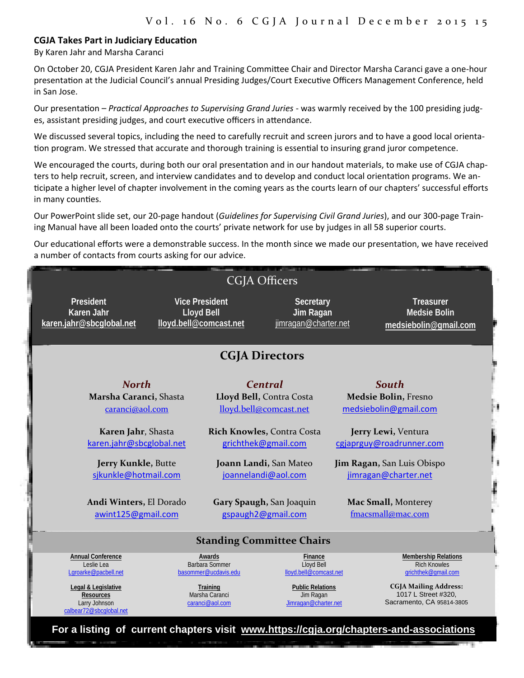### **CGJA Takes Part in Judiciary EducaƟon**

By Karen Jahr and Marsha Caranci

calbear72@sbcglobal.net

On October 20, CGJA President Karen Jahr and Training Committee Chair and Director Marsha Caranci gave a one-hour presentation at the Judicial Council's annual Presiding Judges/Court Executive Officers Management Conference, held in San Jose.

Our presentation – Practical Approaches to Supervising Grand Juries - was warmly received by the 100 presiding judges, assistant presiding judges, and court executive officers in attendance.

We discussed several topics, including the need to carefully recruit and screen jurors and to have a good local orientation program. We stressed that accurate and thorough training is essential to insuring grand juror competence.

We encouraged the courts, during both our oral presentation and in our handout materials, to make use of CGJA chapters to help recruit, screen, and interview candidates and to develop and conduct local orientation programs. We anticipate a higher level of chapter involvement in the coming years as the courts learn of our chapters' successful efforts in many counties.

Our PowerPoint slide set, our 20‐page handout (*Guidelines for Supervising Civil Grand Juries*), and our 300‐page Train‐ ing Manual have all been loaded onto the courts' private network for use by judges in all 58 superior courts.

Our educational efforts were a demonstrable success. In the month since we made our presentation, we have received a number of contacts from courts asking for our advice.

|                                  | <b>CGJA Officers</b>                                                                                                                                                                                        |                                                                      |                                                                                                                                                                                                                              |                                                                                                                                                                                                                    |  |  |
|----------------------------------|-------------------------------------------------------------------------------------------------------------------------------------------------------------------------------------------------------------|----------------------------------------------------------------------|------------------------------------------------------------------------------------------------------------------------------------------------------------------------------------------------------------------------------|--------------------------------------------------------------------------------------------------------------------------------------------------------------------------------------------------------------------|--|--|
|                                  | President<br><b>Karen Jahr</b><br>karen.jahr@sbcglobal.net                                                                                                                                                  | <b>Vice President</b><br><b>Lloyd Bell</b><br>lloyd.bell@comcast.net | Secretary<br>Jim Ragan<br>jimragan@charter.net                                                                                                                                                                               | <b>Treasurer</b><br><b>Medsie Bolin</b><br>medsiebolin@gmail.com                                                                                                                                                   |  |  |
|                                  | <b>CGJA Directors</b>                                                                                                                                                                                       |                                                                      |                                                                                                                                                                                                                              |                                                                                                                                                                                                                    |  |  |
|                                  | <b>North</b><br>Marsha Caranci, Shasta<br>caranci@aol.com<br>Karen Jahr, Shasta<br>karen.jahr@sbcglobal.net<br>Jerry Kunkle, Butte<br>sjkunkle@hotmail.com<br>Andi Winters, El Dorado<br>awint125@gmail.com |                                                                      | <b>Central</b><br>Lloyd Bell, Contra Costa<br>lloyd.bell@comcast.net<br>Rich Knowles, Contra Costa<br>grichthek@gmail.com<br>Joann Landi, San Mateo<br>joannelandi@aol.com<br>Gary Spaugh, San Joaquin<br>gspaugh2@gmail.com | <b>South</b><br>Medsie Bolin, Fresno<br>medsiebolin@gmail.com<br>Jerry Lewi, Ventura<br>cgjaprguy@roadrunner.com<br>Jim Ragan, San Luis Obispo<br>jimragan@charter.net<br>Mac Small, Monterey<br>fmacsmall@mac.com |  |  |
| <b>Standing Committee Chairs</b> |                                                                                                                                                                                                             |                                                                      |                                                                                                                                                                                                                              |                                                                                                                                                                                                                    |  |  |
|                                  | <b>Annual Conference</b><br>Leslie Lea<br>Lgroarke@pacbell.net<br>Legal & Legislative                                                                                                                       | Awards<br><b>Barbara Sommer</b><br>basommer@ucdavis.edu<br>Training  | Finance<br>Lloyd Bell<br>lloyd.bell@comcast.net<br><b>Public Relations</b>                                                                                                                                                   | <b>Membership Relations</b><br><b>Rich Knowles</b><br>qrichthek@qmail.com<br><b>CGJA Mailing Address:</b>                                                                                                          |  |  |
|                                  | <b>Resources</b><br>Larry Johnson                                                                                                                                                                           | Marsha Caranci<br>caranci@aol.com                                    | Jim Ragan<br>Jimragan@charter.net                                                                                                                                                                                            | 1017 L Street #320,<br>Sacramento, CA 95814-3805                                                                                                                                                                   |  |  |

**For a listing of current chapters visit www.https://cgja.org/chapters-and-associations**